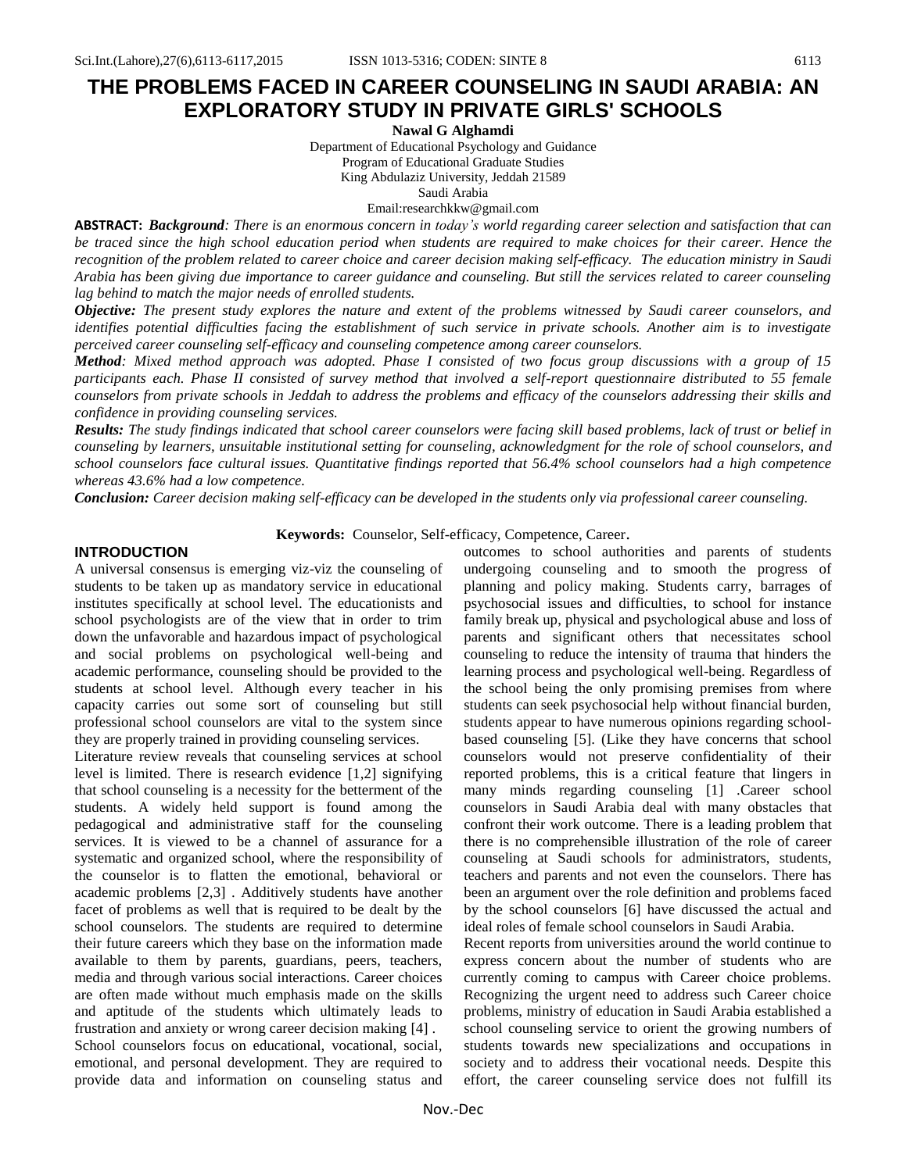# **THE PROBLEMS FACED IN CAREER COUNSELING IN SAUDI ARABIA: AN EXPLORATORY STUDY IN PRIVATE GIRLS' SCHOOLS**

**Nawal G Alghamdi** Department of Educational Psychology and Guidance Program of Educational Graduate Studies

King Abdulaziz University, Jeddah 21589

Saudi Arabia

Email:researchkkw@gmail.com

**ABSTRACT:** *Background: There is an enormous concern in today's world regarding career selection and satisfaction that can be traced since the high school education period when students are required to make choices for their career. Hence the recognition of the problem related to career choice and career decision making self-efficacy. The education ministry in Saudi Arabia has been giving due importance to career guidance and counseling. But still the services related to career counseling lag behind to match the major needs of enrolled students.* 

*Objective: The present study explores the nature and extent of the problems witnessed by Saudi career counselors, and identifies potential difficulties facing the establishment of such service in private schools. Another aim is to investigate perceived career counseling self-efficacy and counseling competence among career counselors.*

*Method: Mixed method approach was adopted. Phase I consisted of two focus group discussions with a group of 15 participants each. Phase II consisted of survey method that involved a self-report questionnaire distributed to 55 female counselors from private schools in Jeddah to address the problems and efficacy of the counselors addressing their skills and confidence in providing counseling services.* 

*Results: The study findings indicated that school career counselors were facing skill based problems, lack of trust or belief in counseling by learners, unsuitable institutional setting for counseling, acknowledgment for the role of school counselors, and school counselors face cultural issues. Quantitative findings reported that 56.4% school counselors had a high competence whereas 43.6% had a low competence.*

*Conclusion: Career decision making self-efficacy can be developed in the students only via professional career counseling.*

**Keywords:** Counselor, Self-efficacy, Competence, Career.

## **INTRODUCTION**

A universal consensus is emerging viz-viz the counseling of students to be taken up as mandatory service in educational institutes specifically at school level. The educationists and school psychologists are of the view that in order to trim down the unfavorable and hazardous impact of psychological and social problems on psychological well-being and academic performance, counseling should be provided to the students at school level. Although every teacher in his capacity carries out some sort of counseling but still professional school counselors are vital to the system since they are properly trained in providing counseling services.

Literature review reveals that counseling services at school level is limited. There is research evidence [1,2] signifying that school counseling is a necessity for the betterment of the students. A widely held support is found among the pedagogical and administrative staff for the counseling services. It is viewed to be a channel of assurance for a systematic and organized school, where the responsibility of the counselor is to flatten the emotional, behavioral or academic problems [2,3] . Additively students have another facet of problems as well that is required to be dealt by the school counselors. The students are required to determine their future careers which they base on the information made available to them by parents, guardians, peers, teachers, media and through various social interactions. Career choices are often made without much emphasis made on the skills and aptitude of the students which ultimately leads to frustration and anxiety or wrong career decision making [4] . School counselors focus on educational, vocational, social, emotional, and personal development. They are required to provide data and information on counseling status and outcomes to school authorities and parents of students undergoing counseling and to smooth the progress of planning and policy making. Students carry, barrages of psychosocial issues and difficulties, to school for instance family break up, physical and psychological abuse and loss of parents and significant others that necessitates school counseling to reduce the intensity of trauma that hinders the learning process and psychological well-being. Regardless of the school being the only promising premises from where students can seek psychosocial help without financial burden, students appear to have numerous opinions regarding schoolbased counseling [5]. (Like they have concerns that school counselors would not preserve confidentiality of their reported problems, this is a critical feature that lingers in many minds regarding counseling [1] .Career school counselors in Saudi Arabia deal with many obstacles that confront their work outcome. There is a leading problem that there is no comprehensible illustration of the role of career counseling at Saudi schools for administrators, students, teachers and parents and not even the counselors. There has been an argument over the role definition and problems faced by the school counselors [6] have discussed the actual and ideal roles of female school counselors in Saudi Arabia.

Recent reports from universities around the world continue to express concern about the number of students who are currently coming to campus with Career choice problems. Recognizing the urgent need to address such Career choice problems, ministry of education in Saudi Arabia established a school counseling service to orient the growing numbers of students towards new specializations and occupations in society and to address their vocational needs. Despite this effort, the career counseling service does not fulfill its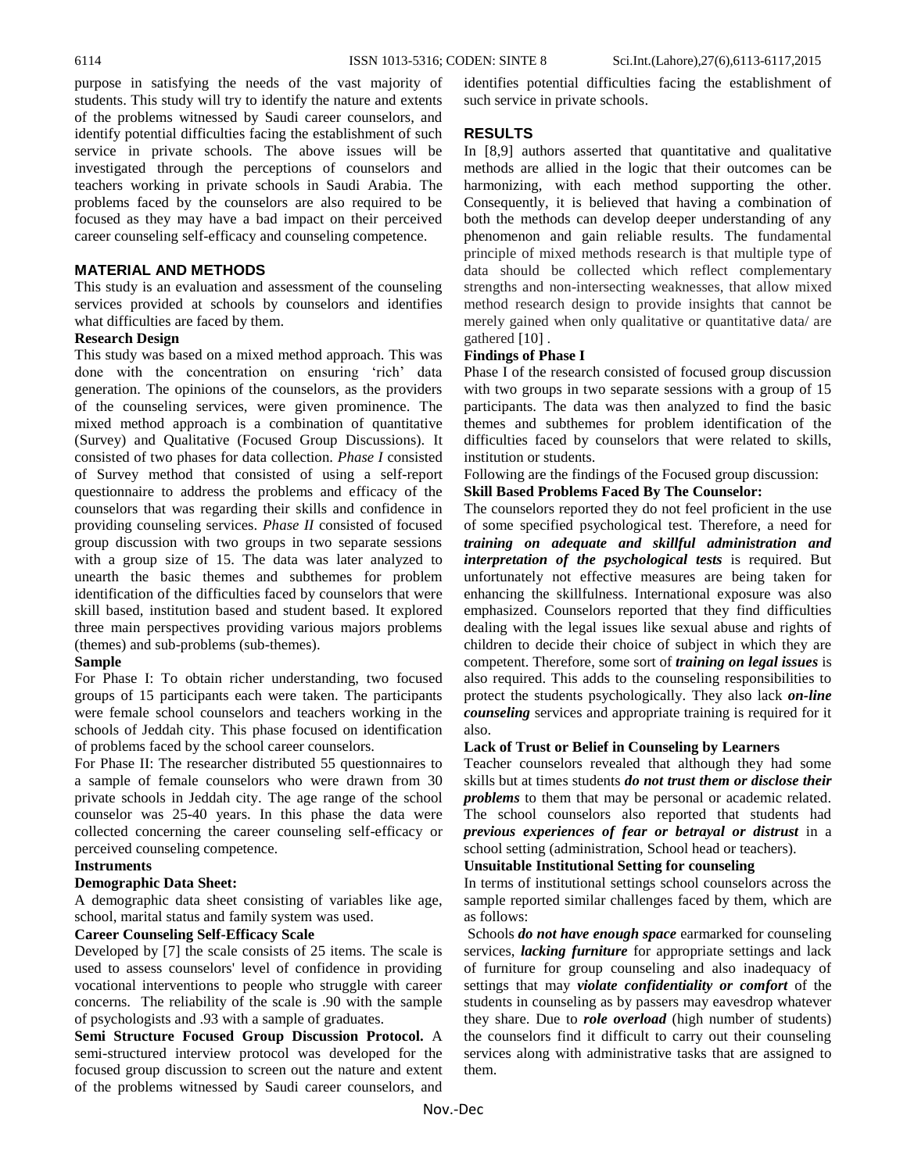purpose in satisfying the needs of the vast majority of students. This study will try to identify the nature and extents of the problems witnessed by Saudi career counselors, and identify potential difficulties facing the establishment of such service in private schools. The above issues will be investigated through the perceptions of counselors and teachers working in private schools in Saudi Arabia. The problems faced by the counselors are also required to be focused as they may have a bad impact on their perceived career counseling self-efficacy and counseling competence.

# **MATERIAL AND METHODS**

This study is an evaluation and assessment of the counseling services provided at schools by counselors and identifies what difficulties are faced by them.

## **Research Design**

This study was based on a mixed method approach. This was done with the concentration on ensuring 'rich' data generation. The opinions of the counselors, as the providers of the counseling services, were given prominence. The mixed method approach is a combination of quantitative (Survey) and Qualitative (Focused Group Discussions). It consisted of two phases for data collection. *Phase I* consisted of Survey method that consisted of using a self-report questionnaire to address the problems and efficacy of the counselors that was regarding their skills and confidence in providing counseling services. *Phase II* consisted of focused group discussion with two groups in two separate sessions with a group size of 15. The data was later analyzed to unearth the basic themes and subthemes for problem identification of the difficulties faced by counselors that were skill based, institution based and student based. It explored three main perspectives providing various majors problems (themes) and sub-problems (sub-themes).

## **Sample**

For Phase I: To obtain richer understanding, two focused groups of 15 participants each were taken. The participants were female school counselors and teachers working in the schools of Jeddah city. This phase focused on identification of problems faced by the school career counselors.

For Phase II: The researcher distributed 55 questionnaires to a sample of female counselors who were drawn from 30 private schools in Jeddah city. The age range of the school counselor was 25-40 years. In this phase the data were collected concerning the career counseling self-efficacy or perceived counseling competence.

#### **Instruments**

## **Demographic Data Sheet:**

A demographic data sheet consisting of variables like age, school, marital status and family system was used.

#### **Career Counseling Self-Efficacy Scale**

Developed by [7] the scale consists of 25 items. The scale is used to assess counselors' level of confidence in providing vocational interventions to people who struggle with career concerns. The reliability of the scale is .90 with the sample of psychologists and .93 with a sample of graduates.

**Semi Structure Focused Group Discussion Protocol.** A semi-structured interview protocol was developed for the focused group discussion to screen out the nature and extent of the problems witnessed by Saudi career counselors, and identifies potential difficulties facing the establishment of such service in private schools.

## **RESULTS**

In [8,9] authors asserted that quantitative and qualitative methods are allied in the logic that their outcomes can be harmonizing, with each method supporting the other. Consequently, it is believed that having a combination of both the methods can develop deeper understanding of any phenomenon and gain reliable results. The fundamental principle of mixed methods research is that multiple type of data should be collected which reflect complementary strengths and non-intersecting weaknesses, that allow mixed method research design to provide insights that cannot be merely gained when only qualitative or quantitative data/ are gathered [10] .

#### **Findings of Phase I**

Phase I of the research consisted of focused group discussion with two groups in two separate sessions with a group of 15 participants. The data was then analyzed to find the basic themes and subthemes for problem identification of the difficulties faced by counselors that were related to skills, institution or students.

Following are the findings of the Focused group discussion:

## **Skill Based Problems Faced By The Counselor:**

The counselors reported they do not feel proficient in the use of some specified psychological test. Therefore, a need for *training on adequate and skillful administration and interpretation of the psychological tests* is required. But unfortunately not effective measures are being taken for enhancing the skillfulness. International exposure was also emphasized. Counselors reported that they find difficulties dealing with the legal issues like sexual abuse and rights of children to decide their choice of subject in which they are competent. Therefore, some sort of *training on legal issues* is also required. This adds to the counseling responsibilities to protect the students psychologically. They also lack *on-line counseling* services and appropriate training is required for it also.

# **Lack of Trust or Belief in Counseling by Learners**

Teacher counselors revealed that although they had some skills but at times students *do not trust them or disclose their problems* to them that may be personal or academic related. The school counselors also reported that students had *previous experiences of fear or betrayal or distrust* in a school setting (administration, School head or teachers).

# **Unsuitable Institutional Setting for counseling**

In terms of institutional settings school counselors across the sample reported similar challenges faced by them, which are as follows:

Schools *do not have enough space* earmarked for counseling services, *lacking furniture* for appropriate settings and lack of furniture for group counseling and also inadequacy of settings that may *violate confidentiality or comfort* of the students in counseling as by passers may eavesdrop whatever they share. Due to *role overload* (high number of students) the counselors find it difficult to carry out their counseling services along with administrative tasks that are assigned to them.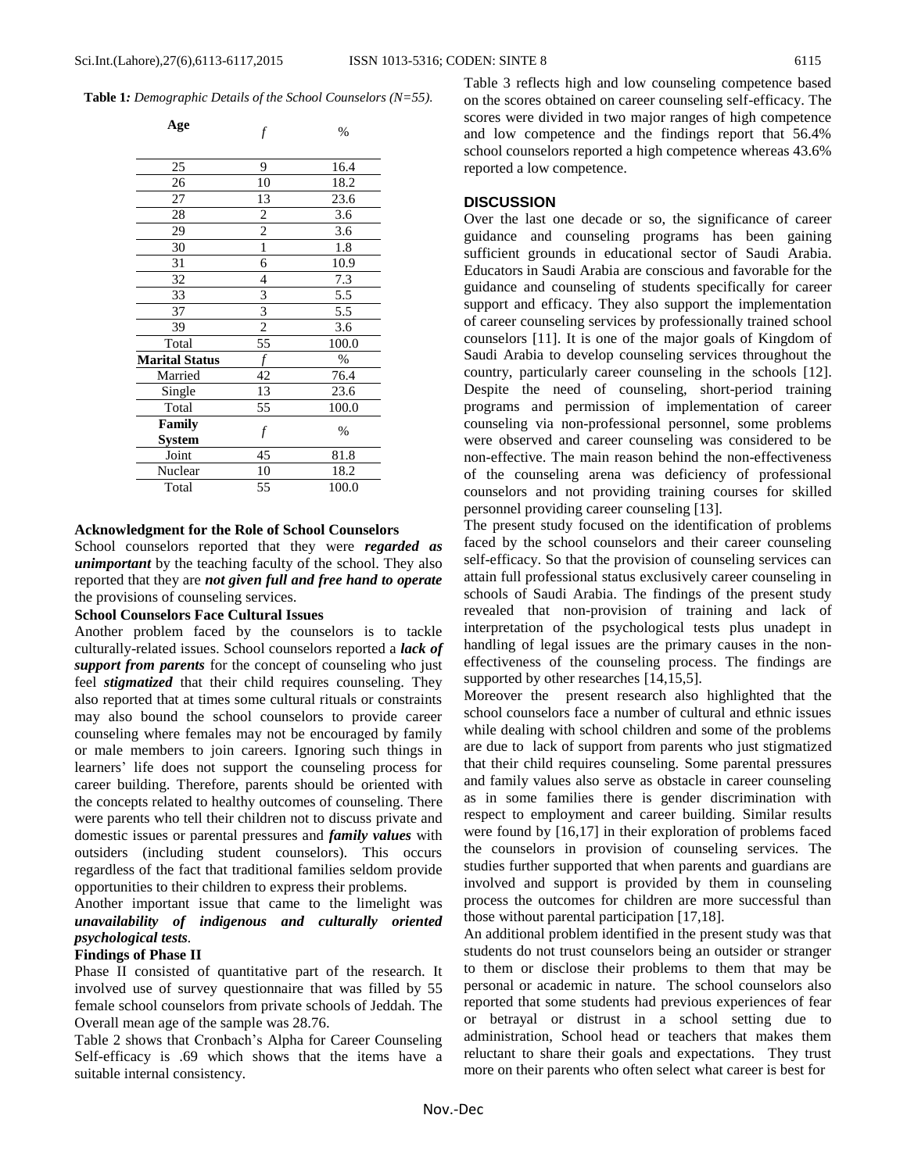| Age                   |                | $\%$  |
|-----------------------|----------------|-------|
|                       |                |       |
| 25                    | 9              | 16.4  |
| 26                    | 10             | 18.2  |
| 27                    | 13             | 23.6  |
| 28                    | $\overline{c}$ | 3.6   |
| 29                    | $\overline{c}$ | 3.6   |
| 30                    | 1              | 1.8   |
| 31                    | 6              | 10.9  |
| 32                    | $\overline{4}$ | 7.3   |
| 33                    | 3              | 5.5   |
| 37                    | $\overline{3}$ | 5.5   |
| 39                    | $\overline{2}$ | 3.6   |
| Total                 | 55             | 100.0 |
| <b>Marital Status</b> |                | $\%$  |
| Married               | 42             | 76.4  |
| Single                | 13             | 23.6  |
| Total                 | 55             | 100.0 |
| Family                | f              | $\%$  |
| <b>System</b>         |                |       |
| Joint                 | 45             | 81.8  |
| Nuclear               | 10             | 18.2  |
| Total                 | 55             | 100.0 |

#### **Acknowledgment for the Role of School Counselors**

School counselors reported that they were *regarded as unimportant* by the teaching faculty of the school. They also reported that they are *not given full and free hand to operate* the provisions of counseling services.

## **School Counselors Face Cultural Issues**

Another problem faced by the counselors is to tackle culturally-related issues. School counselors reported a *lack of support from parents* for the concept of counseling who just feel *stigmatized* that their child requires counseling. They also reported that at times some cultural rituals or constraints may also bound the school counselors to provide career counseling where females may not be encouraged by family or male members to join careers. Ignoring such things in learners' life does not support the counseling process for career building. Therefore, parents should be oriented with the concepts related to healthy outcomes of counseling. There were parents who tell their children not to discuss private and domestic issues or parental pressures and *family values* with outsiders (including student counselors). This occurs regardless of the fact that traditional families seldom provide opportunities to their children to express their problems.

Another important issue that came to the limelight was *unavailability of indigenous and culturally oriented psychological tests.*

# **Findings of Phase II**

Phase II consisted of quantitative part of the research. It involved use of survey questionnaire that was filled by 55 female school counselors from private schools of Jeddah. The Overall mean age of the sample was 28.76.

Table 2 shows that Cronbach's Alpha for Career Counseling Self-efficacy is .69 which shows that the items have a suitable internal consistency.

Table 3 reflects high and low counseling competence based on the scores obtained on career counseling self-efficacy. The scores were divided in two major ranges of high competence and low competence and the findings report that 56.4% school counselors reported a high competence whereas 43.6% reported a low competence.

## **DISCUSSION**

Over the last one decade or so, the significance of career guidance and counseling programs has been gaining sufficient grounds in educational sector of Saudi Arabia. Educators in Saudi Arabia are conscious and favorable for the guidance and counseling of students specifically for career support and efficacy. They also support the implementation of career counseling services by professionally trained school counselors [11]. It is one of the major goals of Kingdom of Saudi Arabia to develop counseling services throughout the country, particularly career counseling in the schools [12]. Despite the need of counseling, short-period training programs and permission of implementation of career counseling via non-professional personnel, some problems were observed and career counseling was considered to be non-effective. The main reason behind the non-effectiveness of the counseling arena was deficiency of professional counselors and not providing training courses for skilled personnel providing career counseling [13].

The present study focused on the identification of problems faced by the school counselors and their career counseling self-efficacy. So that the provision of counseling services can attain full professional status exclusively career counseling in schools of Saudi Arabia. The findings of the present study revealed that non-provision of training and lack of interpretation of the psychological tests plus unadept in handling of legal issues are the primary causes in the noneffectiveness of the counseling process. The findings are supported by other researches [14,15,5].

Moreover the present research also highlighted that the school counselors face a number of cultural and ethnic issues while dealing with school children and some of the problems are due to lack of support from parents who just stigmatized that their child requires counseling. Some parental pressures and family values also serve as obstacle in career counseling as in some families there is gender discrimination with respect to employment and career building. Similar results were found by [16,17] in their exploration of problems faced the counselors in provision of counseling services. The studies further supported that when parents and guardians are involved and support is provided by them in counseling process the outcomes for children are more successful than those without parental participation [17,18].

An additional problem identified in the present study was that students do not trust counselors being an outsider or stranger to them or disclose their problems to them that may be personal or academic in nature. The school counselors also reported that some students had previous experiences of fear or betrayal or distrust in a school setting due to administration, School head or teachers that makes them reluctant to share their goals and expectations. They trust more on their parents who often select what career is best for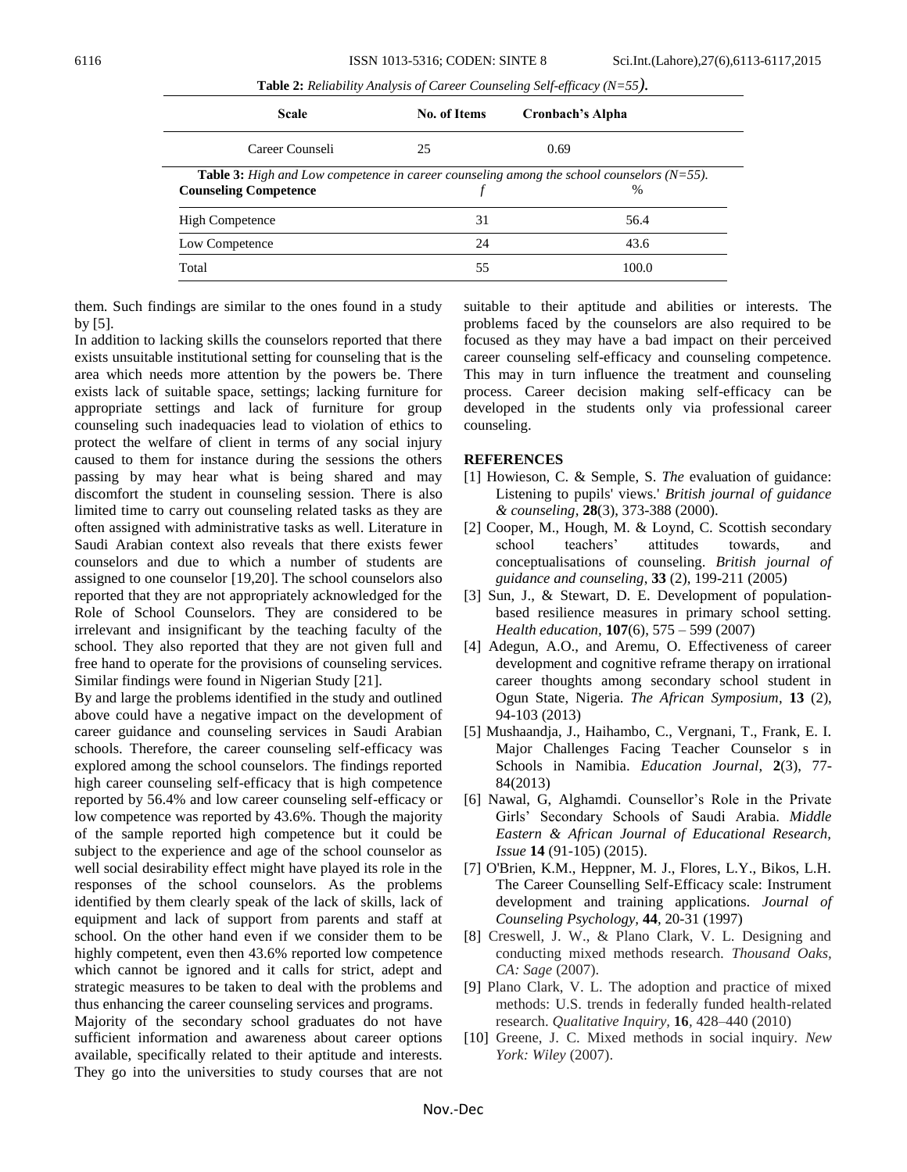| <b>Scale</b>                 | <b>No. of Items</b> | Cronbach's Alpha                                                                                            |
|------------------------------|---------------------|-------------------------------------------------------------------------------------------------------------|
| Career Counseli              | 25                  | 0.69                                                                                                        |
| <b>Counseling Competence</b> |                     | <b>Table 3:</b> High and Low competence in career counseling among the school counselors $(N=55)$ .<br>$\%$ |
| <b>High Competence</b>       | 31                  | 56.4                                                                                                        |
| Low Competence               | 24                  | 43.6                                                                                                        |
| Total                        | 55                  | 100.0                                                                                                       |

**Table 2:** *Reliability Analysis of Career Counseling Self-efficacy (N=55).*

them. Such findings are similar to the ones found in a study by [5].

In addition to lacking skills the counselors reported that there exists unsuitable institutional setting for counseling that is the area which needs more attention by the powers be. There exists lack of suitable space, settings; lacking furniture for appropriate settings and lack of furniture for group counseling such inadequacies lead to violation of ethics to protect the welfare of client in terms of any social injury caused to them for instance during the sessions the others passing by may hear what is being shared and may discomfort the student in counseling session. There is also limited time to carry out counseling related tasks as they are often assigned with administrative tasks as well. Literature in Saudi Arabian context also reveals that there exists fewer counselors and due to which a number of students are assigned to one counselor [19,20]. The school counselors also reported that they are not appropriately acknowledged for the Role of School Counselors. They are considered to be irrelevant and insignificant by the teaching faculty of the school. They also reported that they are not given full and free hand to operate for the provisions of counseling services. Similar findings were found in Nigerian Study [21].

By and large the problems identified in the study and outlined above could have a negative impact on the development of career guidance and counseling services in Saudi Arabian schools. Therefore, the career counseling self-efficacy was explored among the school counselors. The findings reported high career counseling self-efficacy that is high competence reported by 56.4% and low career counseling self-efficacy or low competence was reported by 43.6%. Though the majority of the sample reported high competence but it could be subject to the experience and age of the school counselor as well social desirability effect might have played its role in the responses of the school counselors. As the problems identified by them clearly speak of the lack of skills, lack of equipment and lack of support from parents and staff at school. On the other hand even if we consider them to be highly competent, even then 43.6% reported low competence which cannot be ignored and it calls for strict, adept and strategic measures to be taken to deal with the problems and thus enhancing the career counseling services and programs. Majority of the secondary school graduates do not have sufficient information and awareness about career options

available, specifically related to their aptitude and interests. They go into the universities to study courses that are not suitable to their aptitude and abilities or interests. The problems faced by the counselors are also required to be focused as they may have a bad impact on their perceived career counseling self-efficacy and counseling competence. This may in turn influence the treatment and counseling process. Career decision making self-efficacy can be developed in the students only via professional career counseling.

#### **REFERENCES**

- [1] Howieson, C. & Semple, S. *The* evaluation of guidance: Listening to pupils' views.' *British journal of guidance & counseling,* **28**(3), 373-388 (2000).
- [2] Cooper, M., Hough, M. & Loynd, C. Scottish secondary school teachers' attitudes towards, and conceptualisations of counseling. *British journal of guidance and counseling*, **33** (2), 199-211 (2005)
- [3] Sun, J., & Stewart, D. E. Development of populationbased resilience measures in primary school setting. *Health education,* **107**(6), 575 – 599 (2007)
- [4] Adegun, A.O., and Aremu, O. Effectiveness of career development and cognitive reframe therapy on irrational career thoughts among secondary school student in Ogun State, Nigeria. *The African Symposium*, **13** (2), 94-103 (2013)
- [5] Mushaandja, J., Haihambo, C., Vergnani, T., Frank, E. I. Major Challenges Facing Teacher Counselor s in Schools in Namibia. *Education Journal*, **2**(3), 77- 84(2013)
- [6] Nawal, G, Alghamdi. Counsellor's Role in the Private Girls' Secondary Schools of Saudi Arabia. *Middle Eastern & African Journal of Educational Research, Issue* **14** (91-105) (2015).
- [7] O'Brien, K.M., Heppner, M. J., Flores, L.Y., Bikos, L.H. The Career Counselling Self-Efficacy scale: Instrument development and training applications. *Journal of Counseling Psychology,* **44***,* 20-31 (1997)
- [8] Creswell, J. W., & Plano Clark, V. L. Designing and conducting mixed methods research*. Thousand Oaks, CA: Sage* (2007).
- [9] Plano Clark, V. L. The adoption and practice of mixed methods: U.S. trends in federally funded health-related research. *Qualitative Inquiry,* **16***,* 428–440 (2010)
- [10] Greene, J. C. Mixed methods in social inquiry*. New York: Wiley* (2007).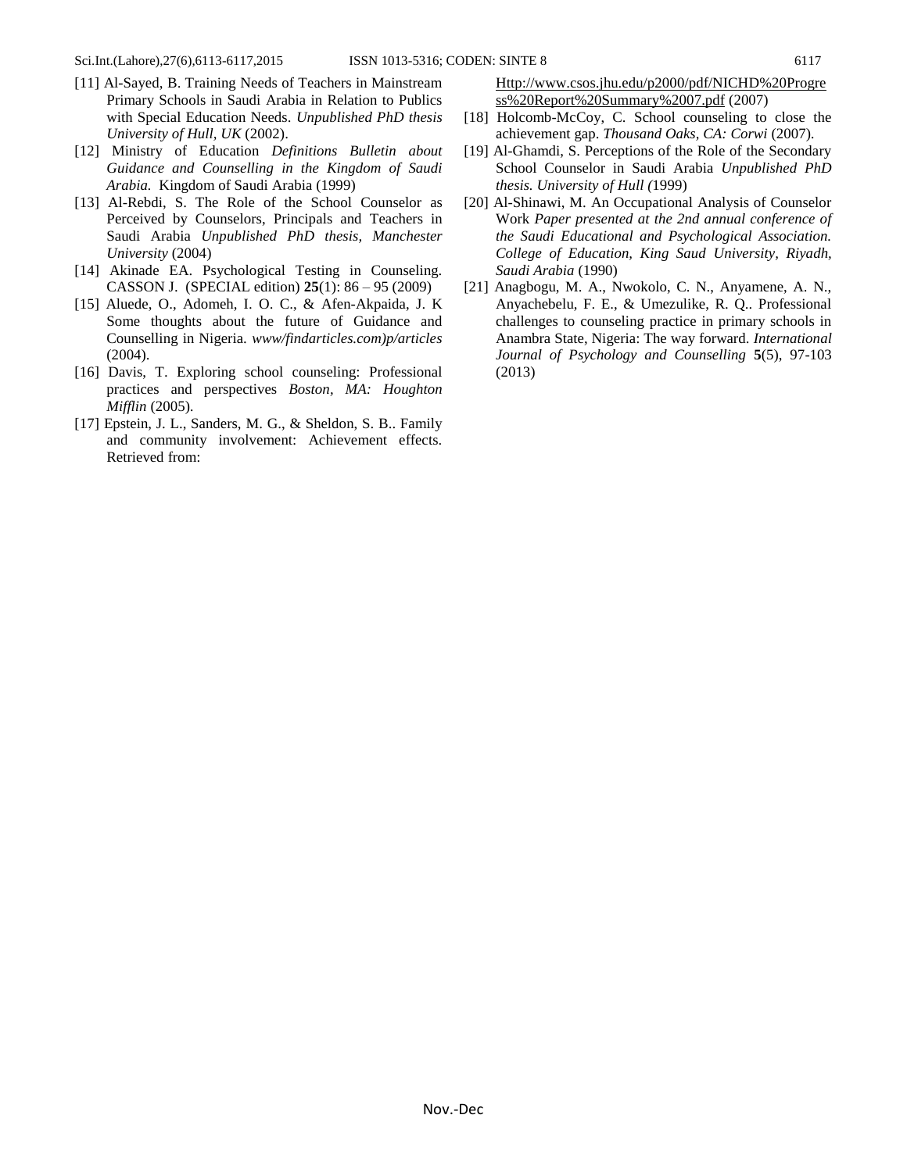- [11] Al-Sayed, B. Training Needs of Teachers in Mainstream Primary Schools in Saudi Arabia in Relation to Publics with Special Education Needs. *Unpublished PhD thesis University of Hull, UK* (2002).
- [12] Ministry of Education *Definitions Bulletin about Guidance and Counselling in the Kingdom of Saudi Arabia.* Kingdom of Saudi Arabia (1999)
- [13] Al-Rebdi, S. The Role of the School Counselor as Perceived by Counselors, Principals and Teachers in Saudi Arabia *Unpublished PhD thesis, Manchester University* (2004)
- [14] Akinade EA. Psychological Testing in Counseling. CASSON J. (SPECIAL edition) **25**(1): 86 – 95 (2009)
- [15] Aluede, O., Adomeh, I. O. C., & Afen-Akpaida, J. K Some thoughts about the future of Guidance and Counselling in Nigeria. *www/findarticles.com)p/articles* (2004).
- [16] Davis, T. Exploring school counseling: Professional practices and perspectives *Boston, MA: Houghton Mifflin* (2005)*.*
- [17] Epstein, J. L., Sanders, M. G., & Sheldon, S. B.. Family and community involvement: Achievement effects. Retrieved from:

[Http://www.csos.jhu.edu/p2000/pdf/NICHD%20Progre](http://www.csos.jhu.edu/p2000/pdf/NICHD%20Progress%20Report%20Summary%2007.pdf) [ss%20Report%20Summary%2007.pdf](http://www.csos.jhu.edu/p2000/pdf/NICHD%20Progress%20Report%20Summary%2007.pdf) (2007)

- [18] Holcomb-McCoy, C. School counseling to close the achievement gap. *Thousand Oaks, CA: Corwi* (2007)*.*
- [19] Al-Ghamdi, S. Perceptions of the Role of the Secondary School Counselor in Saudi Arabia *Unpublished PhD thesis. University of Hull (*1999)
- [20] Al-Shinawi, M. An Occupational Analysis of Counselor Work *Paper presented at the 2nd annual conference of the Saudi Educational and Psychological Association. College of Education, King Saud University, Riyadh, Saudi Arabia* (1990)
- [21] Anagbogu, M. A., Nwokolo, C. N., Anyamene, A. N., Anyachebelu, F. E., & Umezulike, R. Q.. Professional challenges to counseling practice in primary schools in Anambra State, Nigeria: The way forward. *International Journal of Psychology and Counselling* **5**(5), 97-103 (2013)